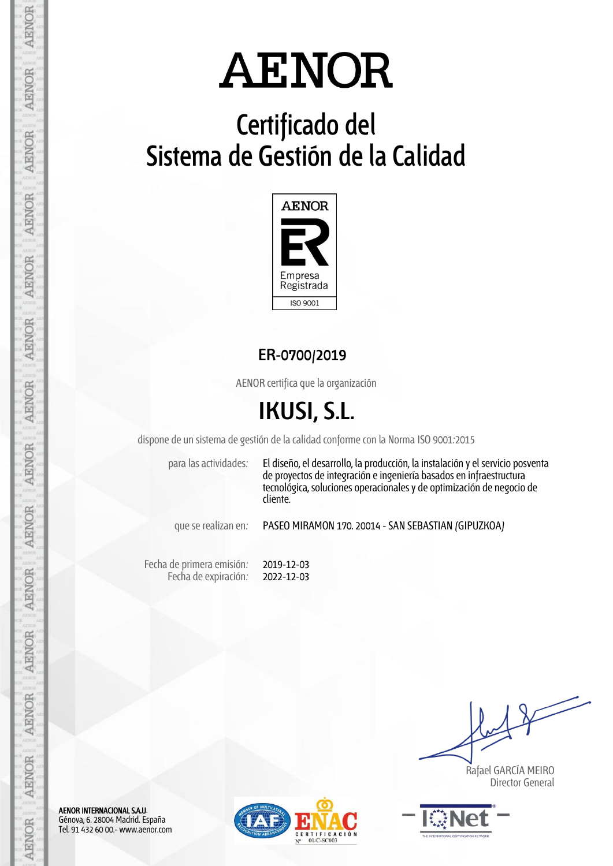## **Certificado del Sistema de Gestión de la Calidad**



**ER-0700/2019**

AENOR certifica que la organización

## **IKUSI, S.L.**

dispone de un sistema de gestión de la calidad conforme con la Norma ISO 9001:2015

para las actividades: El diseño, el desarrollo, la producción, la instalación y el servicio posventa de proyectos de integración e ingeniería basados en infraestructura tecnológica, soluciones operacionales y de optimización de negocio de cliente.

que se realizan en: PASEO MIRAMON 170. 20014 - SAN SEBASTIAN (GIPUZKOA)

Fecha de primera emisión: Fecha de expiración: 2019-12-03 2022-12-03

 Rafael GARCÍA MEIRO Director General



AENOR INTERNACIONAL S.A.U. Génova, 6. 28004 Madrid. España Tel. 91 432 60 00.- www.aenor.com